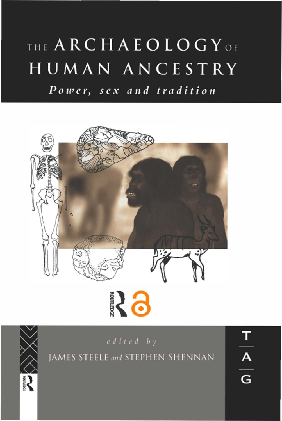# THE ARCHAEOLOGY OF HUMAN ANCESTRY

Power, sex and tradition



JAMES STEELE and STEPHEN SHENNAN

**A** 

 $\frac{T}{A}$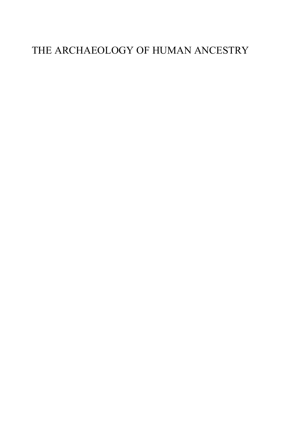## THE ARCHAEOLOGY OF HUMAN ANCESTRY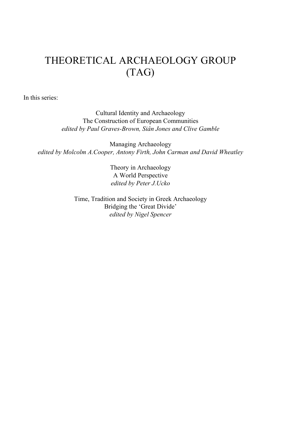### THEORETICAL ARCHAEOLOGY GROUP (TAG)

In this series:

Cultural Identity and Archaeology The Construction of European Communities *edited by Paul Graves-Brown, Siân Jones and Clive Gamble*

Managing Archaeology *edited by Molcolm A.Cooper, Antony Firth, John Carman and David Wheatley*

> Theory in Archaeology A World Perspective *edited by Peter J.Ucko*

Time, Tradition and Society in Greek Archaeology Bridging the 'Great Divide' *edited by Nigel Spencer*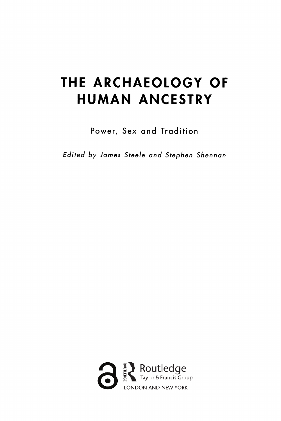# **THE ARCHAEOLOGY OF HUMAN ANCESTRY**

Power, Sex and Tradition

*Edited by James Steele and Stephen Shennan* 

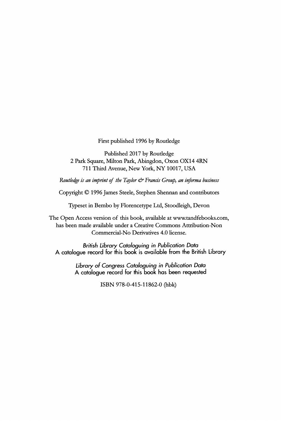First published 1996 by Routledge

Published 2017 by Routledge 2 Park Square, Milton Park, Abingdon, Oxon OX14 4RN 711 Third Avenue, New York, NY 10017, USA

*Routledge is an imprint* of *the Taylor* **Q** *Francis Group, an infrma business* 

Copyright *0* 1996 James Steele, Stephen Shennan and contributors

Typeset in Bembo by Florencetype Ltd, Stoodleigh, Devon

The Open Access version of this book, available at [www.tandfebooks.com](http://www.tandfebooks.com), has been made available under a Creative Commons Attribution-Non Commercial-No Derivatives 4.0 license.

British Librav Cataloguing in Publication Data A catalogue record for this book is available from the British Library

> Library of Congress Cataloguing in Publication Data A catalogue record for this book has been requested

> > ISBN 978-0-415-11862-0 (hbk)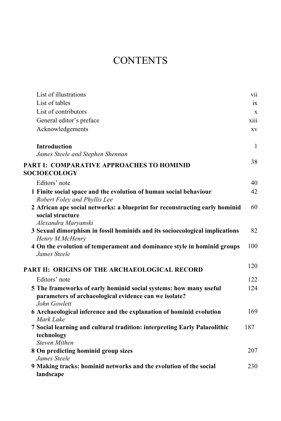### **CONTENTS**

| List of illustrations                                                                                                                      | vii          |
|--------------------------------------------------------------------------------------------------------------------------------------------|--------------|
| List of tables                                                                                                                             | ix           |
| List of contributors                                                                                                                       | $\mathbf{X}$ |
| General editor's preface                                                                                                                   | xiii         |
| Acknowledgements                                                                                                                           | XV           |
| Introduction                                                                                                                               | $\mathbf{1}$ |
| James Steele and Stephen Shennan                                                                                                           | 38           |
| PART I: COMPARATIVE APPROACHES TO HOMINID<br><b>SOCIOECOLOGY</b>                                                                           |              |
| Editors' note                                                                                                                              | 40           |
| 1 Finite social space and the evolution of human social behaviour<br>Robert Foley and Phyllis Lee                                          | 42           |
| 2 African ape social networks: a blueprint for reconstructing early hominid<br>social structure<br>Alexandra Maryanski                     | 60           |
| 3 Sexual dimorphism in fossil hominids and its socioecological implications<br>Henry M.McHenry                                             | 82           |
| 4 On the evolution of temperament and dominance style in hominid groups<br>James Steele                                                    | 100          |
| PART II: ORIGINS OF THE ARCHAEOLOGICAL RECORD                                                                                              | 120          |
| Editors' note                                                                                                                              | 122          |
| 5 The frameworks of early hominid social systems: how many useful<br>parameters of archaeological evidence can we isolate?<br>John Gowlett | 124          |
| 6 Archaeological inference and the explanation of hominid evolution<br>Mark Lake                                                           | 169          |
| 7 Social learning and cultural tradition: interpreting Early Palaeolithic<br>technology<br><b>Steven Mithen</b>                            | 187          |
| 8 On predicting hominid group sizes<br>James Steele                                                                                        | 207          |
| 9 Making tracks: hominid networks and the evolution of the social<br>landscape                                                             | 230          |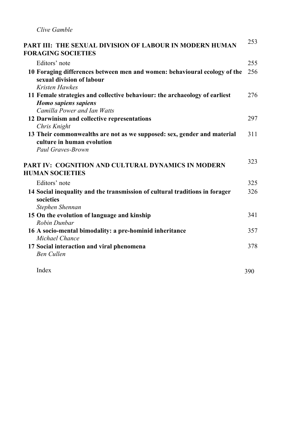| PART III: THE SEXUAL DIVISION OF LABOUR IN MODERN HUMAN<br><b>FORAGING SOCIETIES</b>                                              | 253 |
|-----------------------------------------------------------------------------------------------------------------------------------|-----|
| Editors' note                                                                                                                     | 255 |
| 10 Foraging differences between men and women: behavioural ecology of the<br>sexual division of labour<br>Kristen Hawkes          | 256 |
| 11 Female strategies and collective behaviour: the archaeology of earliest<br>Homo sapiens sapiens<br>Camilla Power and Ian Watts | 276 |
| 12 Darwinism and collective representations<br>Chris Knight                                                                       | 297 |
| 13 Their commonwealths are not as we supposed: sex, gender and material<br>culture in human evolution<br>Paul Graves-Brown        | 311 |
| PART IV: COGNITION AND CULTURAL DYNAMICS IN MODERN<br><b>HUMAN SOCIETIES</b>                                                      | 323 |
| Editors' note                                                                                                                     | 325 |
| 14 Social inequality and the transmission of cultural traditions in forager<br>societies<br>Stephen Shennan                       | 326 |
| 15 On the evolution of language and kinship<br>Robin Dunbar                                                                       | 341 |
| 16 A socio-mental bimodality: a pre-hominid inheritance<br>Michael Chance                                                         | 357 |
| 17 Social interaction and viral phenomena<br><b>Ben Cullen</b>                                                                    | 378 |
| Index                                                                                                                             | 390 |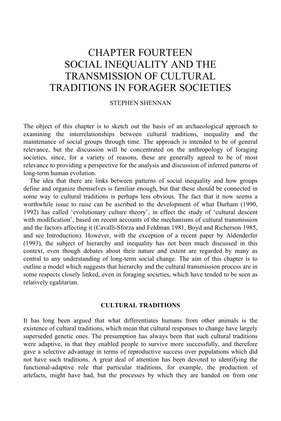### CHAPTER FOURTEEN SOCIAL INEQUALITY AND THE TRANSMISSION OF CULTURAL TRADITIONS IN FORAGER SOCIETIES

#### STEPHEN SHENNAN

The object of this chapter is to sketch out the basis of an archaeological approach to examining the interrelationships between cultural traditions, inequality and the maintenance of social groups through time. The approach is intended to be of general relevance, but the discussion will be concentrated on the anthropology of foraging societies, since, for a variety of reasons, these are generally agreed to be of most relevance to providing a perspective for the analysis and discussion of inferred patterns of long-term human evolution.

The idea that there are links between patterns of social inequality and how groups define and organize themselves is familiar enough, but that these should be connected in some way to cultural traditions is perhaps less obvious. The fact that it now seems a worthwhile issue to raise can be ascribed to the development of what Durham (1990, 1992) has called 'evolutionary culture theory', in effect the study of 'cultural descent with modification', based on recent accounts of the mechanisms of cultural transmission and the factors affecting it (Cavalli-Sforza and Feldman 1981, Boyd and Richerson 1985, and see Introduction). However, with the exception of a recent paper by Aldenderfer (1993), the subject of hierarchy and inequality has not been much discussed in this context, even though debates about their nature and extent are regarded by many as central to any understanding of long-term social change. The aim of this chapter is to outline a model which suggests that hierarchy and the cultural transmission process are in some respects closely linked, even in foraging societies, which have tended to be seen as relatively egalitarian.

#### **CULTURAL TRADITIONS**

It has long been argued that what differentiates humans from other animals is the existence of cultural traditions, which mean that cultural responses to change have largely superseded genetic ones. The presumption has always been that such cultural traditions were adaptive, in that they enabled people to survive more successfully, and therefore gave a selective advantage in terms of reproductive success over populations which did not have such traditions. A great deal of attention has been devoted to identifying the functional-adaptive role that particular traditions, for example, the production of artefacts, might have had, but the processes by which they are handed on from one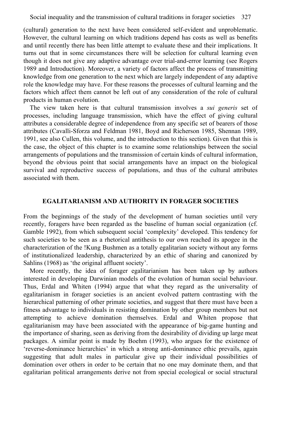(cultural) generation to the next have been considered self-evident and unproblematic. However, the cultural learning on which traditions depend has costs as well as benefits and until recently there has been little attempt to evaluate these and their implications. It turns out that in some circumstances there will be selection for cultural learning even though it does not give any adaptive advantage over trial-and-error learning (see Rogers 1989 and Introduction). Moreover, a variety of factors affect the process of transmitting knowledge from one generation to the next which are largely independent of any adaptive role the knowledge may have. For these reasons the processes of cultural learning and the factors which affect them cannot be left out of any consideration of the role of cultural products in human evolution.

The view taken here is that cultural transmission involves a *sui generis* set of processes, including language transmission, which have the effect of giving cultural attributes a considerable degree of independence from any specific set of bearers of those attributes (Cavalli-Sforza and Feldman 1981, Boyd and Richerson 1985, Shennan 1989, 1991, see also Cullen, this volume, and the introduction to this section). Given that this is the case, the object of this chapter is to examine some relationships between the social arrangements of populations and the transmission of certain kinds of cultural information, beyond the obvious point that social arrangements have an impact on the biological survival and reproductive success of populations, and thus of the cultural attributes associated with them.

#### **EGALITARIANISM AND AUTHORITY IN FORAGER SOCIETIES**

From the beginnings of the study of the development of human societies until very recently, foragers have been regarded as the baseline of human social organization (cf. Gamble 1992), from which subsequent social 'complexity' developed. This tendency for such societies to be seen as a rhetorical antithesis to our own reached its apogee in the characterization of the !Kung Bushmen as a totally egalitarian society without any forms of institutionalized leadership, characterized by an ethic of sharing and canonized by Sahlins (1968) as 'the original affluent society'.

More recently, the idea of forager egalitarianism has been taken up by authors interested in developing Darwinian models of the evolution of human social behaviour. Thus, Erdal and Whiten (1994) argue that what they regard as the universality of egalitarianism in forager societies is an ancient evolved pattern contrasting with the hierarchical patterning of other primate societies, and suggest that there must have been a fitness advantage to individuals in resisting domination by other group members but not attempting to achieve domination themselves. Erdal and Whiten propose that egalitarianism may have been associated with the appearance of big-game hunting and the importance of sharing, seen as deriving from the desirability of dividing up large meat packages. A similar point is made by Boehm (1993), who argues for the existence of 'reverse-dominance hierarchies' in which a strong anti-dominance ethic prevails, again suggesting that adult males in particular give up their individual possibilities of domination over others in order to be certain that no one may dominate them, and that egalitarian political arrangements derive not from special ecological or social structural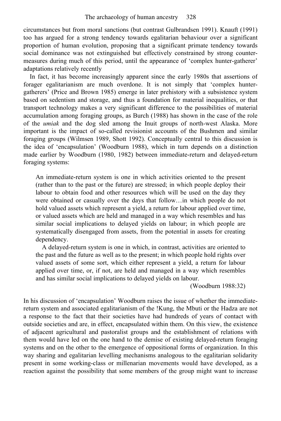circumstances but from moral sanctions (but contrast Gulbrandsen 1991). Knauft (1991) too has argued for a strong tendency towards egalitarian behaviour over a significant proportion of human evolution, proposing that a significant primate tendency towards social dominance was not extinguished but effectively constrained by strong countermeasures during much of this period, until the appearance of 'complex hunter-gatherer' adaptations relatively recently

In fact, it has become increasingly apparent since the early 1980s that assertions of forager egalitarianism are much overdone. It is not simply that 'complex huntergatherers' (Price and Brown 1985) emerge in later prehistory with a subsistence system based on sedentism and storage, and thus a foundation for material inequalities, or that transport technology makes a very significant difference to the possibilities of material accumulation among foraging groups, as Burch (1988) has shown in the case of the role of the *umiak* and the dog sled among the Inuit groups of north-west Alaska. More important is the impact of so-called revisionist accounts of the Bushmen and similar foraging groups (Wilmsen 1989, Shott 1992). Conceptually central to this discussion is the idea of 'encapsulation' (Woodburn 1988), which in turn depends on a distinction made earlier by Woodburn (1980, 1982) between immediate-return and delayed-return foraging systems:

An immediate-return system is one in which activities oriented to the present (rather than to the past or the future) are stressed; in which people deploy their labour to obtain food and other resources which will be used on the day they were obtained or casually over the days that follow…in which people do not hold valued assets which represent a yield, a return for labour applied over time, or valued assets which are held and managed in a way which resembles and has similar social implications to delayed yields on labour; in which people are systematically disengaged from assets, from the potential in assets for creating dependency.

A delayed-return system is one in which, in contrast, activities are oriented to the past and the future as well as to the present; in which people hold rights over valued assets of some sort, which either represent a yield, a return for labour applied over time, or, if not, are held and managed in a way which resembles and has similar social implications to delayed yields on labour.

(Woodburn 1988:32)

In his discussion of 'encapsulation' Woodburn raises the issue of whether the immediatereturn system and associated egalitarianism of the !Kung, the Mbuti or the Hadza are not a response to the fact that their societies have had hundreds of years of contact with outside societies and are, in effect, encapsulated within them. On this view, the existence of adjacent agricultural and pastoralist groups and the establishment of relations with them would have led on the one hand to the demise of existing delayed-return foraging systems and on the other to the emergence of oppositional forms of organization. In this way sharing and egalitarian levelling mechanisms analogous to the egalitarian solidarity present in some working-class or millenarian movements would have developed, as a reaction against the possibility that some members of the group might want to increase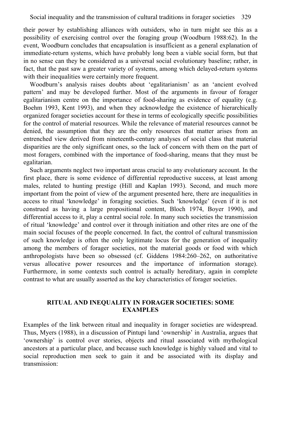their power by establishing alliances with outsiders, who in turn might see this as a possibility of exercising control over the foraging group (Woodburn 1988:62). In the event, Woodburn concludes that encapsulation is insufficient as a general explanation of immediate-return systems, which have probably long been a viable social form, but that in no sense can they be considered as a universal social evolutionary baseline; rather, in fact, that the past saw a greater variety of systems, among which delayed-return systems with their inequalities were certainly more frequent.

Woodburn's analysis raises doubts about 'egalitarianism' as an 'ancient evolved pattern' and may be developed further. Most of the arguments in favour of forager egalitarianism centre on the importance of food-sharing as evidence of equality (e.g. Boehm 1993, Kent 1993), and when they acknowledge the existence of hierarchically organized forager societies account for these in terms of ecologically specific possibilities for the control of material resources. While the relevance of material resources cannot be denied, the assumption that they are the only resources that matter arises from an entrenched view derived from nineteenth-century analyses of social class that material disparities are the only significant ones, so the lack of concern with them on the part of most foragers, combined with the importance of food-sharing, means that they must be egalitarian.

Such arguments neglect two important areas crucial to any evolutionary account. In the first place, there is some evidence of differential reproductive success, at least among males, related to hunting prestige (Hill and Kaplan 1993). Second, and much more important from the point of view of the argument presented here, there are inequalities in access to ritual 'knowledge' in foraging societies. Such 'knowledge' (even if it is not construed as having a large propositional content, Bloch 1974, Boyer 1990), and differential access to it, play a central social role. In many such societies the transmission of ritual 'knowledge' and control over it through initiation and other rites are one of the main social focuses of the people concerned. In fact, the control of cultural transmission of such knowledge is often the only legitimate locus for the generation of inequality among the members of forager societies, not the material goods or food with which anthropologists have been so obsessed (cf. Giddens 1984:260–262, on authoritative versus allocative power resources and the importance of information storage). Furthermore, in some contexts such control is actually hereditary, again in complete contrast to what are usually asserted as the key characteristics of forager societies.

#### **RITUAL AND INEQUALITY IN FORAGER SOCIETIES: SOME EXAMPLES**

Examples of the link between ritual and inequality in forager societies are widespread. Thus, Myers (1988), in a discussion of Pintupi land 'ownership' in Australia, argues that 'ownership' is control over stories, objects and ritual associated with mythological ancestors at a particular place, and because such knowledge is highly valued and vital to social reproduction men seek to gain it and be associated with its display and transmission: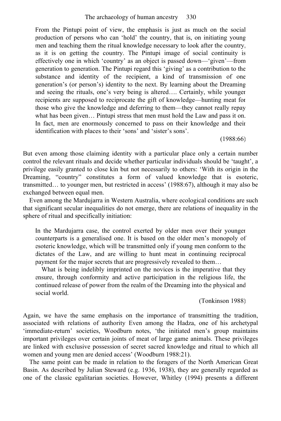From the Pintupi point of view, the emphasis is just as much on the social production of persons who can 'hold' the country, that is, on initiating young men and teaching them the ritual knowledge necessary to look after the country, as it is on getting the country. The Pintupi image of social continuity is effectively one in which 'country' as an object is passed down—'given'—from generation to generation. The Pintupi regard this 'giving' as a contribution to the substance and identity of the recipient, a kind of transmission of one generation's (or person's) identity to the next. By learning about the Dreaming and seeing the rituals, one's very being is altered…. Certainly, while younger recipients are supposed to reciprocate the gift of knowledge—hunting meat for those who give the knowledge and deferring to them—they cannot really repay what has been given… Pintupi stress that men must hold the Law and pass it on. In fact, men are enormously concerned to pass on their knowledge and their identification with places to their 'sons' and 'sister's sons'.

(1988:66)

But even among those claiming identity with a particular place only a certain number control the relevant rituals and decide whether particular individuals should be 'taught', a privilege easily granted to close kin but not necessarily to others: 'With its origin in the Dreaming, "country" constitutes a form of valued knowledge that is esoteric, transmitted… to younger men, but restricted in access' (1988:67), although it may also be exchanged between equal men.

Even among the Mardujarra in Western Australia, where ecological conditions are such that significant secular inequalities do not emerge, there are relations of inequality in the sphere of ritual and specifically initiation:

In the Mardujarra case, the control exerted by older men over their younger counterparts is a generalised one. It is based on the older men's monopoly of esoteric knowledge, which will be transmitted only if young men conform to the dictates of the Law, and are willing to hunt meat in continuing reciprocal payment for the major secrets that are progressively revealed to them…

What is being indelibly imprinted on the novices is the imperative that they ensure, through conformity and active participation in the religious life, the continued release of power from the realm of the Dreaming into the physical and social world.

(Tonkinson 1988)

Again, we have the same emphasis on the importance of transmitting the tradition, associated with relations of authority Even among the Hadza, one of his archetypal 'immediate-return' societies, Woodburn notes, 'the initiated men's group maintains important privileges over certain joints of meat of large game animals. These privileges are linked with exclusive possession of secret sacred knowledge and ritual to which all women and young men are denied access' (Woodburn 1988:21).

The same point can be made in relation to the foragers of the North American Great Basin. As described by Julian Steward (e.g. 1936, 1938), they are generally regarded as one of the classic egalitarian societies. However, Whitley (1994) presents a different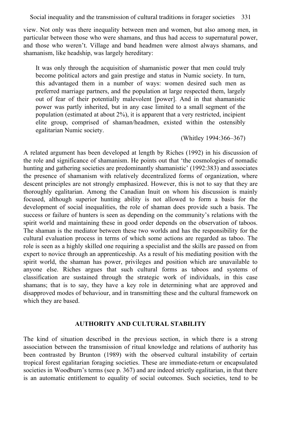view. Not only was there inequality between men and women, but also among men, in particular between those who were shamans, and thus had access to supernatural power, and those who weren't. Village and band headmen were almost always shamans, and shamanism, like headship, was largely hereditary:

It was only through the acquisition of shamanistic power that men could truly become political actors and gain prestige and status in Numic society. In turn, this advantaged them in a number of ways: women desired such men as preferred marriage partners, and the population at large respected them, largely out of fear of their potentially malevolent [power]. And in that shamanistic power was partly inherited, but in any case limited to a small segment of the population (estimated at about 2%), it is apparent that a very restricted, incipient elite group, comprised of shaman/headmen, existed within the ostensibly egalitarian Numic society.

(Whitley 1994:366–367)

A related argument has been developed at length by Riches (1992) in his discussion of the role and significance of shamanism. He points out that 'the cosmologies of nomadic hunting and gathering societies are predominantly shamanistic' (1992:383) and associates the presence of shamanism with relatively decentralized forms of organization, where descent principles are not strongly emphasized. However, this is not to say that they are thoroughly egalitarian. Among the Canadian Inuit on whom his discussion is mainly focused, although superior hunting ability is not allowed to form a basis for the development of social inequalities, the role of shaman does provide such a basis. The success or failure of hunters is seen as depending on the community's relations with the spirit world and maintaining these in good order depends on the observation of taboos. The shaman is the mediator between these two worlds and has the responsibility for the cultural evaluation process in terms of which some actions are regarded as taboo. The role is seen as a highly skilled one requiring a specialist and the skills are passed on from expert to novice through an apprenticeship. As a result of his mediating position with the spirit world, the shaman has power, privileges and position which are unavailable to anyone else. Riches argues that such cultural forms as taboos and systems of classification are sustained through the strategic work of individuals, in this case shamans; that is to say, they have a key role in determining what are approved and disapproved modes of behaviour, and in transmitting these and the cultural framework on which they are based.

#### **AUTHORITY AND CULTURAL STABILITY**

The kind of situation described in the previous section, in which there is a strong association between the transmission of ritual knowledge and relations of authority has been contrasted by Brunton (1989) with the observed cultural instability of certain tropical forest egalitarian foraging societies. These are immediate-return or encapsulated societies in Woodburn's terms (see p. 367) and are indeed strictly egalitarian, in that there is an automatic entitlement to equality of social outcomes. Such societies, tend to be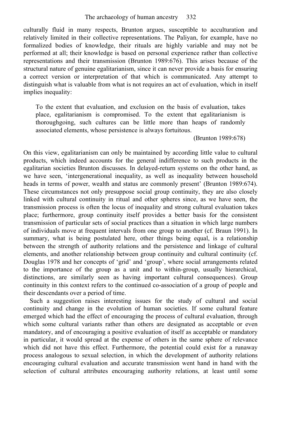culturally fluid in many respects, Brunton argues, susceptible to acculturation and relatively limited in their collective representations. The Paliyan, for example, have no formalized bodies of knowledge, their rituals are highly variable and may not be performed at all; their knowledge is based on personal experience rather than collective representations and their transmission (Brunton 1989:676). This arises because of the structural nature of genuine egalitarianism, since it can never provide a basis for ensuring a correct version or interpretation of that which is communicated. Any attempt to distinguish what is valuable from what is not requires an act of evaluation, which in itself implies inequality:

To the extent that evaluation, and exclusion on the basis of evaluation, takes place, egalitarianism is compromised. To the extent that egalitarianism is thoroughgoing, such cultures can be little more than heaps of randomly associated elements, whose persistence is always fortuitous.

(Brunton 1989:678)

On this view, egalitarianism can only be maintained by according little value to cultural products, which indeed accounts for the general indifference to such products in the egalitarian societies Brunton discusses. In delayed-return systems on the other hand, as we have seen, 'intergenerational inequality, as well as inequality between household heads in terms of power, wealth and status are commonly present' (Brunton 1989:674). These circumstances not only presuppose social group continuity, they are also closely linked with cultural continuity in ritual and other spheres since, as we have seen, the transmission process is often the locus of inequality and strong cultural evaluation takes place; furthermore, group continuity itself provides a better basis for the consistent transmission of particular sets of social practices than a situation in which large numbers of individuals move at frequent intervals from one group to another (cf. Braun 1991). In summary, what is being postulated here, other things being equal, is a relationship between the strength of authority relations and the persistence and linkage of cultural elements, and another relationship between group continuity and cultural continuity (cf. Douglas 1978 and her concepts of 'grid' and 'group', where social arrangements related to the importance of the group as a unit and to within-group, usually hierarchical, distinctions, are similarly seen as having important cultural consequences). Group continuity in this context refers to the continued co-association of a group of people and their descendants over a period of time.

Such a suggestion raises interesting issues for the study of cultural and social continuity and change in the evolution of human societies. If some cultural feature emerged which had the effect of encouraging the process of cultural evaluation, through which some cultural variants rather than others are designated as acceptable or even mandatory, and of encouraging a positive evaluation of itself as acceptable or mandatory in particular, it would spread at the expense of others in the same sphere of relevance which did not have this effect. Furthermore, the potential could exist for a runaway process analogous to sexual selection, in which the development of authority relations encouraging cultural evaluation and accurate transmission went hand in hand with the selection of cultural attributes encouraging authority relations, at least until some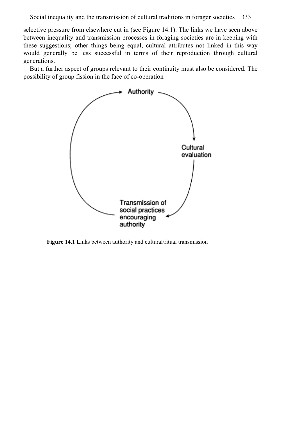selective pressure from elsewhere cut in (see Figure 14.1). The links we have seen above between inequality and transmission processes in foraging societies are in keeping with these suggestions; other things being equal, cultural attributes not linked in this way would generally be less successful in terms of their reproduction through cultural generations.

But a further aspect of groups relevant to their continuity must also be considered. The possibility of group fission in the face of co-operation



**Figure 14.1** Links between authority and cultural/ritual transmission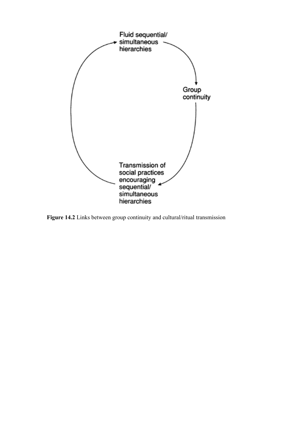

**Figure 14.2** Links between group continuity and cultural/ritual transmission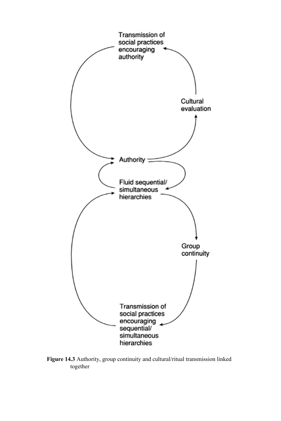

**Figure 14.3** Authority, group continuity and cultural/ritual transmission linked together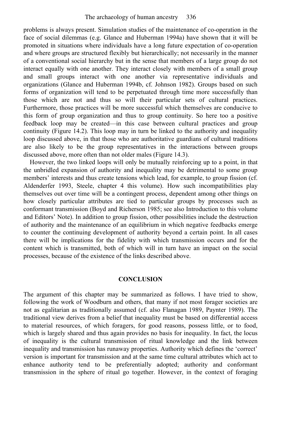problems is always present. Simulation studies of the maintenance of co-operation in the face of social dilemmas (e.g. Glance and Huberman 1994a) have shown that it will be promoted in situations where individuals have a long future expectation of co-operation and where groups are structured flexibly but hierarchically; not necessarily in the manner of a conventional social hierarchy but in the sense that members of a large group do not interact equally with one another. They interact closely with members of a small group and small groups interact with one another via representative individuals and organizations (Glance and Huberman 1994b, cf. Johnson 1982). Groups based on such forms of organization will tend to be perpetuated through time more successfully than those which are not and thus so will their particular sets of cultural practices. Furthermore, those practices will be more successful which themselves are conducive to this form of group organization and thus to group continuity. So here too a positive feedback loop may be created—in this case between cultural practices and group continuity (Figure 14.2). This loop may in turn be linked to the authority and inequality loop discussed above, in that those who are authoritative guardians of cultural traditions are also likely to be the group representatives in the interactions between groups discussed above, more often than not older males (Figure 14.3).

However, the two linked loops will only be mutually reinforcing up to a point, in that the unbridled expansion of authority and inequality may be detrimental to some group members' interests and thus create tensions which lead, for example, to group fission (cf. Aldenderfer 1993, Steele, chapter 4 this volume). How such incompatibilities play themselves out over time will be a contingent process, dependent among other things on how closely particular attributes are tied to particular groups by processes such as conformant transmission (Boyd and Richerson 1985; see also Introduction to this volume and Editors' Note). In addition to group fission, other possibilities include the destruction of authority and the maintenance of an equilibrium in which negative feedbacks emerge to counter the continuing development of authority beyond a certain point. In all cases there will be implications for the fidelity with which transmission occurs and for the content which is transmitted, both of which will in turn have an impact on the social processes, because of the existence of the links described above.

#### **CONCLUSION**

The argument of this chapter may be summarized as follows. I have tried to show, following the work of Woodburn and others, that many if not most forager societies are not as egalitarian as traditionally assumed (cf. also Flanagan 1989, Paynter 1989). The traditional view derives from a belief that inequality must be based on differential access to material resources, of which foragers, for good reasons, possess little, or to food, which is largely shared and thus again provides no basis for inequality. In fact, the locus of inequality is the cultural transmission of ritual knowledge and the link between inequality and transmission has runaway properties. Authority which defines the 'correct' version is important for transmission and at the same time cultural attributes which act to enhance authority tend to be preferentially adopted; authority and conformant transmission in the sphere of ritual go together. However, in the context of foraging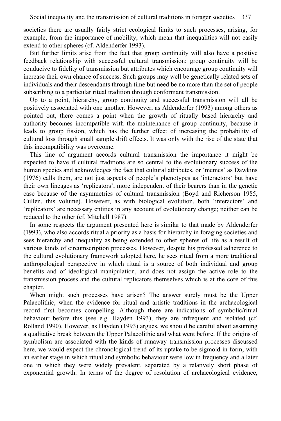societies there are usually fairly strict ecological limits to such processes, arising, for example, from the importance of mobility, which mean that inequalities will not easily extend to other spheres (cf. Aldenderfer 1993).

But further limits arise from the fact that group continuity will also have a positive feedback relationship with successful cultural transmission: group continuity will be conducive to fidelity of transmission but attributes which encourage group continuity will increase their own chance of success. Such groups may well be genetically related sets of individuals and their descendants through time but need be no more than the set of people subscribing to a particular ritual tradition through conformant transmission.

Up to a point, hierarchy, group continuity and successful transmission will all be positively associated with one another. However, as Aldenderfer (1993) among others as pointed out, there comes a point when the growth of ritually based hierarchy and authority becomes incompatible with the maintenance of group continuity, because it leads to group fission, which has the further effect of increasing the probability of cultural loss through small sample drift effects. It was only with the rise of the state that this incompatibility was overcome.

This line of argument accords cultural transmission the importance it might be expected to have if cultural traditions are so central to the evolutionary success of the human species and acknowledges the fact that cultural attributes, or 'memes' as Dawkins (1976) calls them, are not just aspects of people's phenotypes as 'interactors' but have their own lineages as 'replicators', more independent of their bearers than in the genetic case because of the asymmetries of cultural transmission (Boyd and Richerson 1985, Cullen, this volume). However, as with biological evolution, both 'interactors' and 'replicators' are necessary entities in any account of evolutionary change; neither can be reduced to the other (cf. Mitchell 1987).

In some respects the argument presented here is similar to that made by Aldenderfer (1993), who also accords ritual a priority as a basis for hierarchy in foraging societies and sees hierarchy and inequality as being extended to other spheres of life as a result of various kinds of circumscription processes. However, despite his professed adherence to the cultural evolutionary framework adopted here, he sees ritual from a more traditional anthropological perspective in which ritual is a source of both individual and group benefits and of ideological manipulation, and does not assign the active role to the transmission process and the cultural replicators themselves which is at the core of this chapter.

When might such processes have arisen? The answer surely must be the Upper Palaeolithic, when the evidence for ritual and artistic traditions in the archaeological record first becomes compelling. Although there are indications of symbolic/ritual behaviour before this (see e.g. Hayden 1993), they are infrequent and isolated (cf. Rolland 1990). However, as Hayden (1993) argues, we should be careful about assuming a qualitative break between the Upper Palaeolithic and what went before. If the origins of symbolism are associated with the kinds of runaway transmission processes discussed here, we would expect the chronological trend of its uptake to be sigmoid in form, with an earlier stage in which ritual and symbolic behaviour were low in frequency and a later one in which they were widely prevalent, separated by a relatively short phase of exponential growth. In terms of the degree of resolution of archaeological evidence,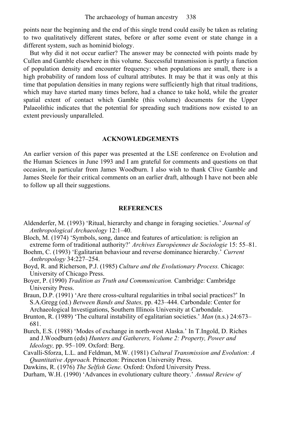points near the beginning and the end of this single trend could easily be taken as relating to two qualitatively different states, before or after some event or state change in a different system, such as hominid biology.

But why did it not occur earlier? The answer may be connected with points made by Cullen and Gamble elsewhere in this volume. Successful transmission is partly a function of population density and encounter frequency: when populations are small, there is a high probability of random loss of cultural attributes. It may be that it was only at this time that population densities in many regions were sufficiently high that ritual traditions, which may have started many times before, had a chance to take hold, while the greater spatial extent of contact which Gamble (this volume) documents for the Upper Palaeolithic indicates that the potential for spreading such traditions now existed to an extent previously unparalleled.

#### **ACKNOWLEDGEMENTS**

An earlier version of this paper was presented at the LSE conference on Evolution and the Human Sciences in June 1993 and I am grateful for comments and questions on that occasion, in particular from James Woodburn. I also wish to thank Clive Gamble and James Steele for their critical comments on an earlier draft, although I have not been able to follow up all their suggestions.

#### **REFERENCES**

- Aldenderfer, M. (1993) 'Ritual, hierarchy and change in foraging societies.' *Journal of Anthropological Archaeology* 12:1–40.
- Bloch, M. (1974) 'Symbols, song, dance and features of articulation: is religion an extreme form of traditional authority?' *Archives Européennes de Sociologie* 15: 55–81.
- Boehm, C. (1993) 'Egalitarian behaviour and reverse dominance hierarchy.' *Current Anthropology* 34:227–254.
- Boyd, R. and Richerson, P.J. (1985) *Culture and the Evolutionary Process.* Chicago: University of Chicago Press.
- Boyer, P. (1990) *Tradition as Truth and Communication.* Cambridge: Cambridge University Press.
- Braun, D.P. (1991) 'Are there cross-cultural regularities in tribal social practices?' In S.A.Gregg (ed.) *Between Bands and States,* pp. 423–444. Carbondale: Center for Archaeological Investigations, Southern Illinois University at Carbondale.
- Brunton, R. (1989) 'The cultural instability of egalitarian societies.' *Man* (n.s.) 24:673– 681.
- Burch, E.S. (1988) 'Modes of exchange in north-west Alaska.' In T.Ingold, D. Riches and J.Woodburn (eds) *Hunters and Gatherers, Volume 2: Property, Power and Ideology,* pp. 95–109. Oxford: Berg.
- Cavalli-Sforza, L.L. and Feldman, M.W. (1981) *Cultural Transmission and Evolution: A Quantitative Approach.* Princeton: Princeton University Press.
- Dawkins, R. (1976) *The Selfish Gene.* Oxford: Oxford University Press.
- Durham, W.H. (1990) 'Advances in evolutionary culture theory.' *Annual Review of*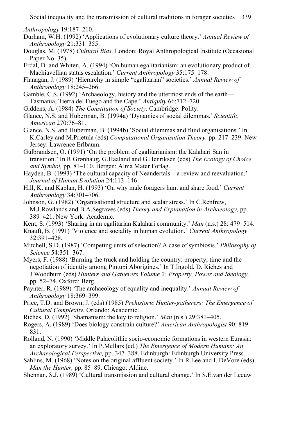*Anthropology* 19:187–210.

- Durham, W.H. (1992) 'Applications of evolutionary culture theory.' *Annual Review of Anthropology* 21:331–355.
- Douglas, M. (1978) *Cultural Bias.* London: Royal Anthropological Institute (Occasional Paper No. 35).
- Erdal, D. and Whiten, A. (1994) 'On human egalitarianism: an evolutionary product of Machiavellian status escalation.' *Current Anthropology* 35:175–178.
- Flanagan, J. (1989) 'Hierarchy in simple "egalitarian" societies.' *Annual Review of Anthropology* 18:245–266.
- Gamble, C.S. (1992) 'Archaeology, history and the uttermost ends of the earth— Tasmania, Tierra del Fuego and the Cape.' *Antiquity* 66:712–720.
- Giddens, A. (1984) *The Constitution of Society.* Cambridge: Polity.
- Glance, N.S. and Huberman, B. (1994a) 'Dynamics of social dilemmas.' *Scientific American* 270:76–81.
- Glance, N.S. and Huberman, B. (1994b) 'Social dilemmas and fluid organisations.' In K.Carley and M.Prietula (eds) *Computational Organisation Theory,* pp. 217–239. New Jersey: Lawrence Erlbaum.
- Gulbrandsen, O. (1991) 'On the problem of egalitarianism: the Kalahari San in transition.' In R.Grønhaug, G.Haaland and G.Henriksen (eds) *The Ecology of Choice and Symbol,* pp. 81–110. Bergen: Alma Mater Forlag.
- Hayden, B. (1993) 'The cultural capacity of Neandertals—a review and reevaluation.' *Journal of Human Evolution* 24:113–146
- Hill, K. and Kaplan, H. (1993) 'On why male foragers hunt and share food.' *Current Anthropology* 34:701–706.
- Johnson, G. (1982) 'Organisational structure and scalar stress.' In C.Renfrew, M.J.Rowlands and B.A.Segraves (eds) *Theory and Explanation in Archaeology,* pp. 389–421. New York: Academic.
- Kent, S. (1993) 'Sharing in an egalitarian Kalahari community.' *Man* (n.s.) 28: 479–514.
- Knauft, B. (1991) 'Violence and sociality in human evolution.' *Current Anthropology* 32:391–428.
- Mitchell, S.D. (1987) 'Competing units of selection? A case of symbiosis.' *Philosophy of Science* 54:351–367.
- Myers, F. (1988) 'Burning the truck and holding the country: property, time and the negotiation of identity among Pintupi Aborigines.' In T.Ingold, D. Riches and J.Woodburn (eds) *Hunters and Gatherers Volume 2: Property, Power and Ideology,* pp. 52–74. Oxford: Berg.
- Paynter, R. (1989) 'The archaeology of equality and inequality.' *Annual Review of Anthropology* 18:369–399.
- Price, T.D. and Brown, J. (eds) (1985) *Prehistoric Hunter-gatherers: The Emergence of Cultural Complexity.* Orlando: Academic.
- Riches, D. (1992) 'Shamanism: the key to religion.' *Man* (n.s.) 29:381–405.
- Rogers, A. (1989) 'Does biology constrain culture?' *American Anthropologist* 90: 819– 831.
- Rolland, N. (1990) 'Middle Palaeolithic socio-economic formations in western Eurasia: an exploratory survey.' In P.Mellars (ed.) *The Emergence of Modern Humans: An Archaeological Perspective,* pp. 347–388. Edinburgh: Edinburgh University Press.
- Sahlins, M. (1968) 'Notes on the original affluent society.' In R.Lee and I. DeVore (eds) *Man the Hunter,* pp. 85–89. Chicago: Aldine.
- Shennan, S.J. (1989) 'Cultural transmission and cultural change.' In S.E.van der Leeuw